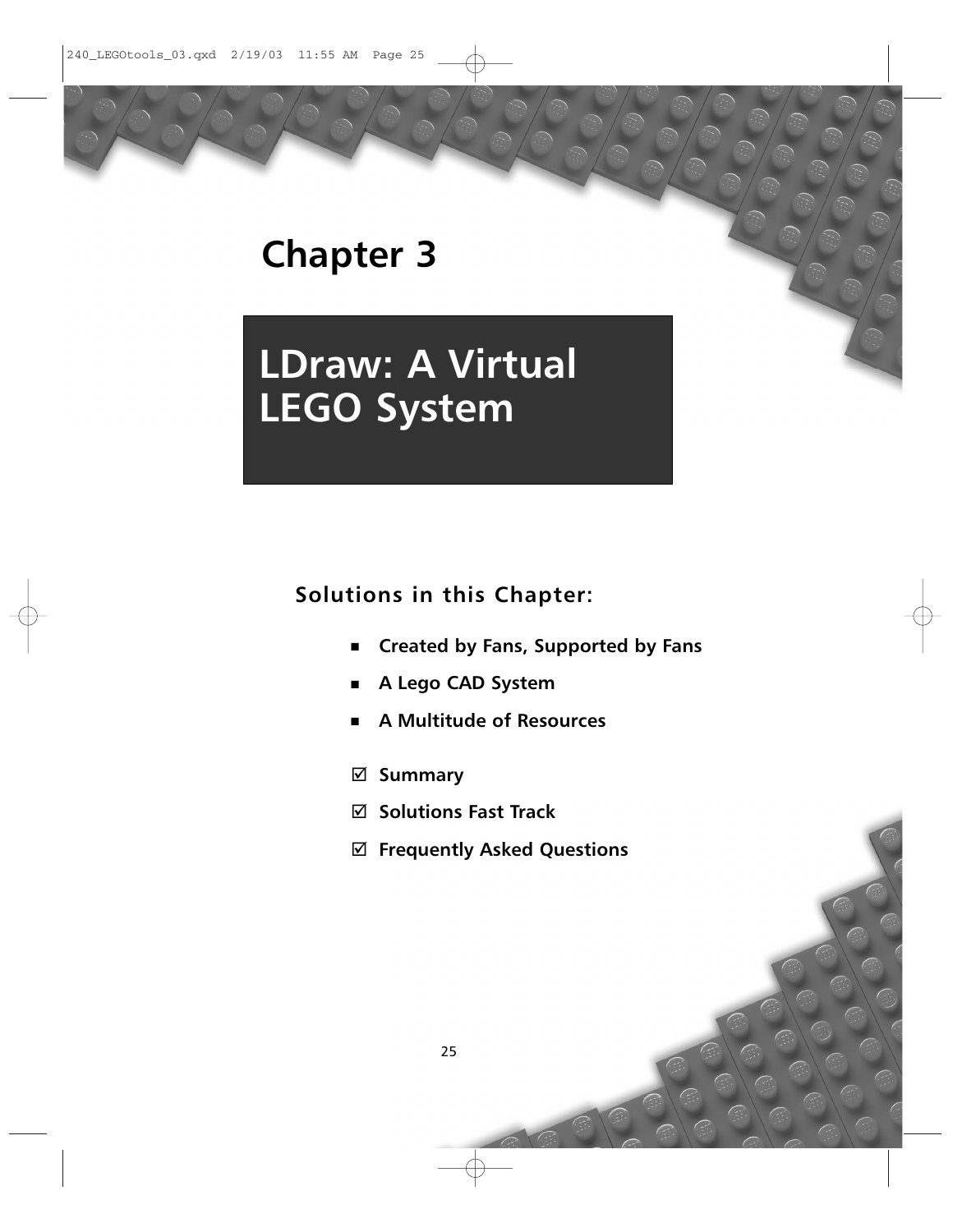## **Chapter 3**

# **LDraw: A Virtual LEGO System**

#### **Solutions in this Chapter:**

- **Created by Fans, Supported by Fans**
- **A Lego CAD System**
- **A Multitude of Resources**
- ; **Summary**
- ; **Solutions Fast Track**
- ; **Frequently Asked Questions**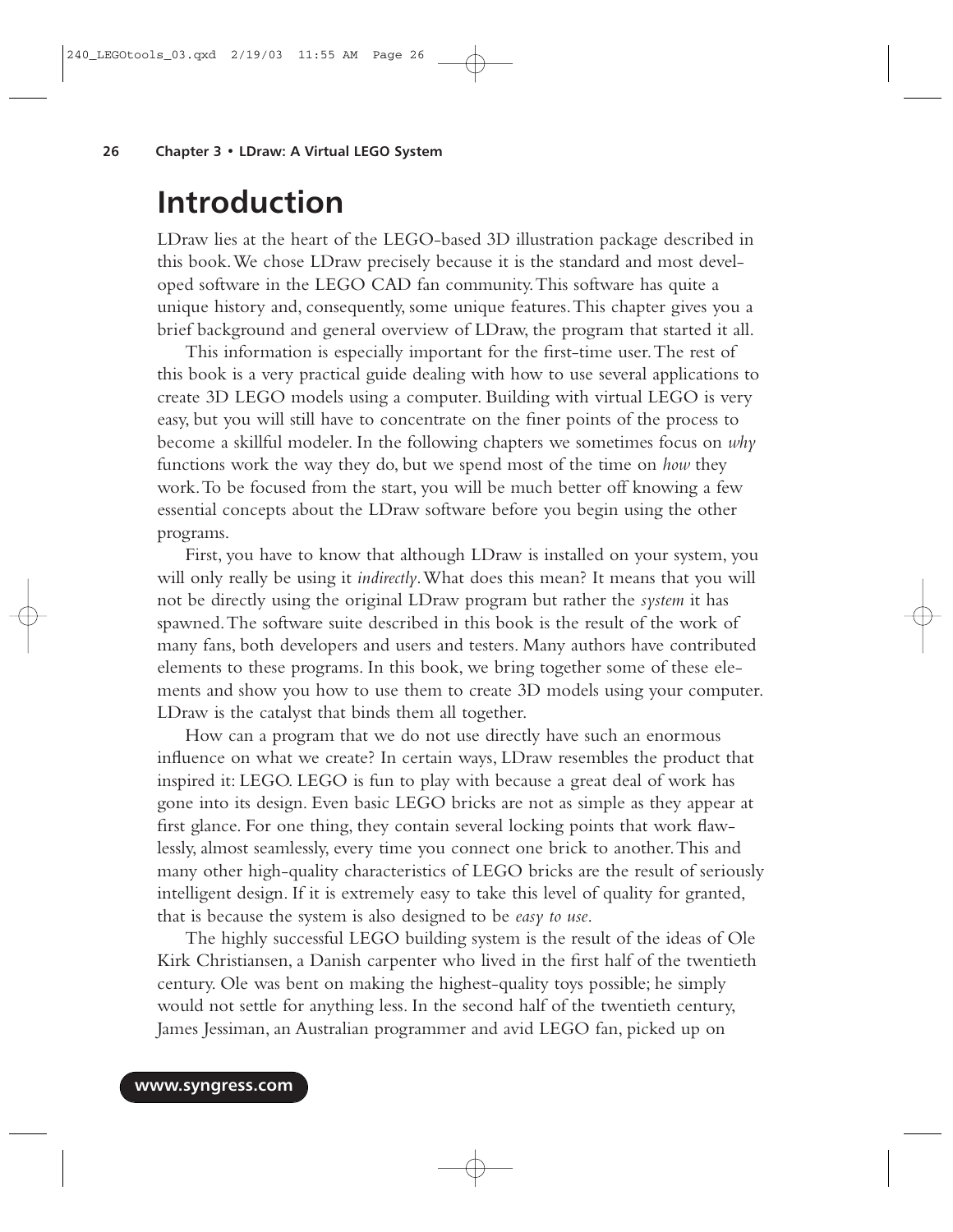### **Introduction**

LDraw lies at the heart of the LEGO-based 3D illustration package described in this book.We chose LDraw precisely because it is the standard and most developed software in the LEGO CAD fan community.This software has quite a unique history and, consequently, some unique features.This chapter gives you a brief background and general overview of LDraw, the program that started it all.

This information is especially important for the first-time user.The rest of this book is a very practical guide dealing with how to use several applications to create 3D LEGO models using a computer. Building with virtual LEGO is very easy, but you will still have to concentrate on the finer points of the process to become a skillful modeler. In the following chapters we sometimes focus on *why* functions work the way they do, but we spend most of the time on *how* they work.To be focused from the start, you will be much better off knowing a few essential concepts about the LDraw software before you begin using the other programs.

First, you have to know that although LDraw is installed on your system, you will only really be using it *indirectly*.What does this mean? It means that you will not be directly using the original LDraw program but rather the *system* it has spawned.The software suite described in this book is the result of the work of many fans, both developers and users and testers. Many authors have contributed elements to these programs. In this book, we bring together some of these elements and show you how to use them to create 3D models using your computer. LDraw is the catalyst that binds them all together.

How can a program that we do not use directly have such an enormous influence on what we create? In certain ways, LDraw resembles the product that inspired it: LEGO. LEGO is fun to play with because a great deal of work has gone into its design. Even basic LEGO bricks are not as simple as they appear at first glance. For one thing, they contain several locking points that work flawlessly, almost seamlessly, every time you connect one brick to another.This and many other high-quality characteristics of LEGO bricks are the result of seriously intelligent design. If it is extremely easy to take this level of quality for granted, that is because the system is also designed to be *easy to use*.

The highly successful LEGO building system is the result of the ideas of Ole Kirk Christiansen, a Danish carpenter who lived in the first half of the twentieth century. Ole was bent on making the highest-quality toys possible; he simply would not settle for anything less. In the second half of the twentieth century, James Jessiman, an Australian programmer and avid LEGO fan, picked up on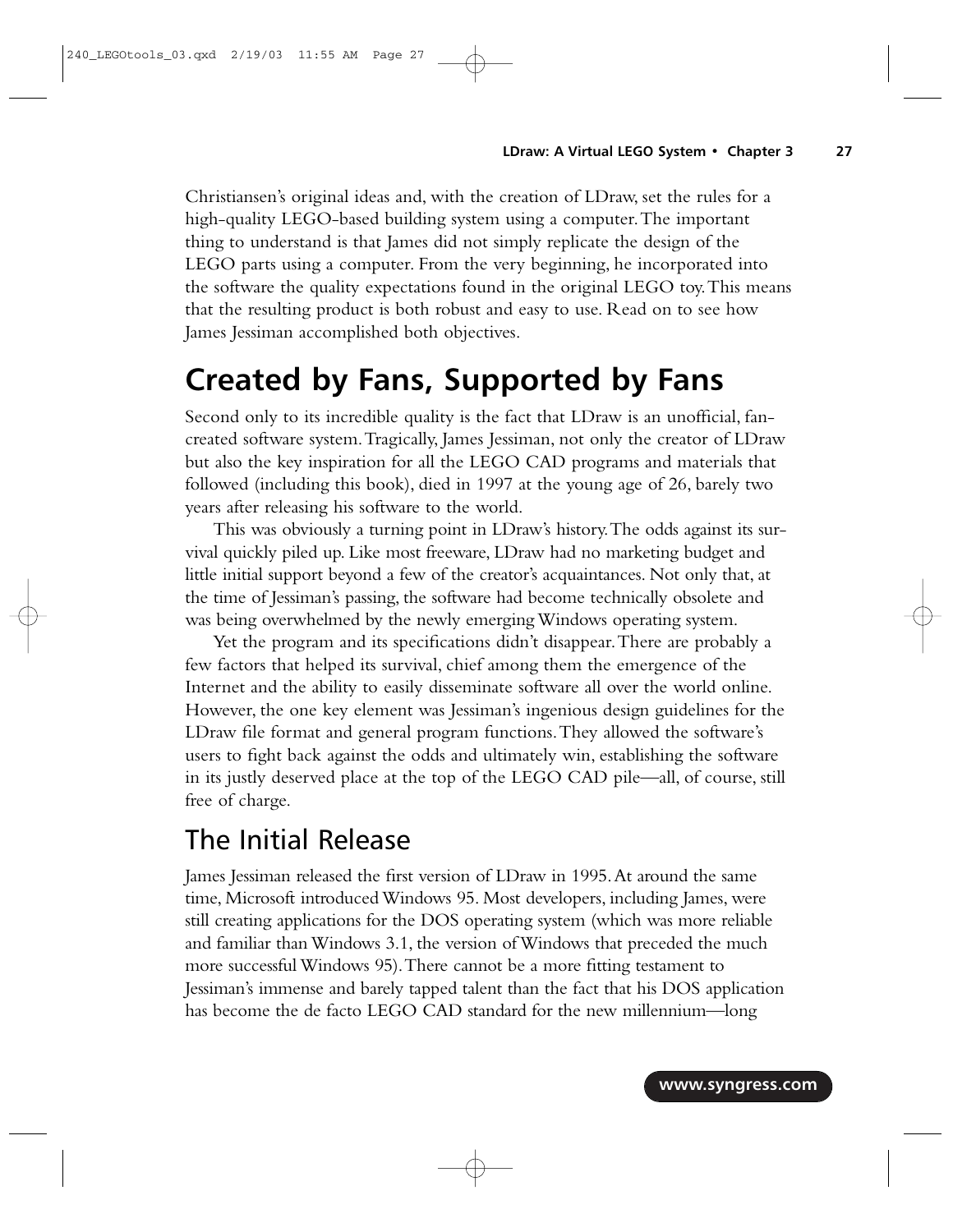Christiansen's original ideas and, with the creation of LDraw, set the rules for a high-quality LEGO-based building system using a computer.The important thing to understand is that James did not simply replicate the design of the LEGO parts using a computer. From the very beginning, he incorporated into the software the quality expectations found in the original LEGO toy.This means that the resulting product is both robust and easy to use. Read on to see how James Jessiman accomplished both objectives.

### **Created by Fans, Supported by Fans**

Second only to its incredible quality is the fact that LDraw is an unofficial, fancreated software system.Tragically, James Jessiman, not only the creator of LDraw but also the key inspiration for all the LEGO CAD programs and materials that followed (including this book), died in 1997 at the young age of 26, barely two years after releasing his software to the world.

This was obviously a turning point in LDraw's history.The odds against its survival quickly piled up. Like most freeware, LDraw had no marketing budget and little initial support beyond a few of the creator's acquaintances. Not only that, at the time of Jessiman's passing, the software had become technically obsolete and was being overwhelmed by the newly emerging Windows operating system.

Yet the program and its specifications didn't disappear.There are probably a few factors that helped its survival, chief among them the emergence of the Internet and the ability to easily disseminate software all over the world online. However, the one key element was Jessiman's ingenious design guidelines for the LDraw file format and general program functions.They allowed the software's users to fight back against the odds and ultimately win, establishing the software in its justly deserved place at the top of the LEGO CAD pile—all, of course, still free of charge.

### The Initial Release

James Jessiman released the first version of LDraw in 1995.At around the same time, Microsoft introduced Windows 95. Most developers, including James, were still creating applications for the DOS operating system (which was more reliable and familiar than Windows 3.1, the version of Windows that preceded the much more successful Windows 95).There cannot be a more fitting testament to Jessiman's immense and barely tapped talent than the fact that his DOS application has become the de facto LEGO CAD standard for the new millennium—long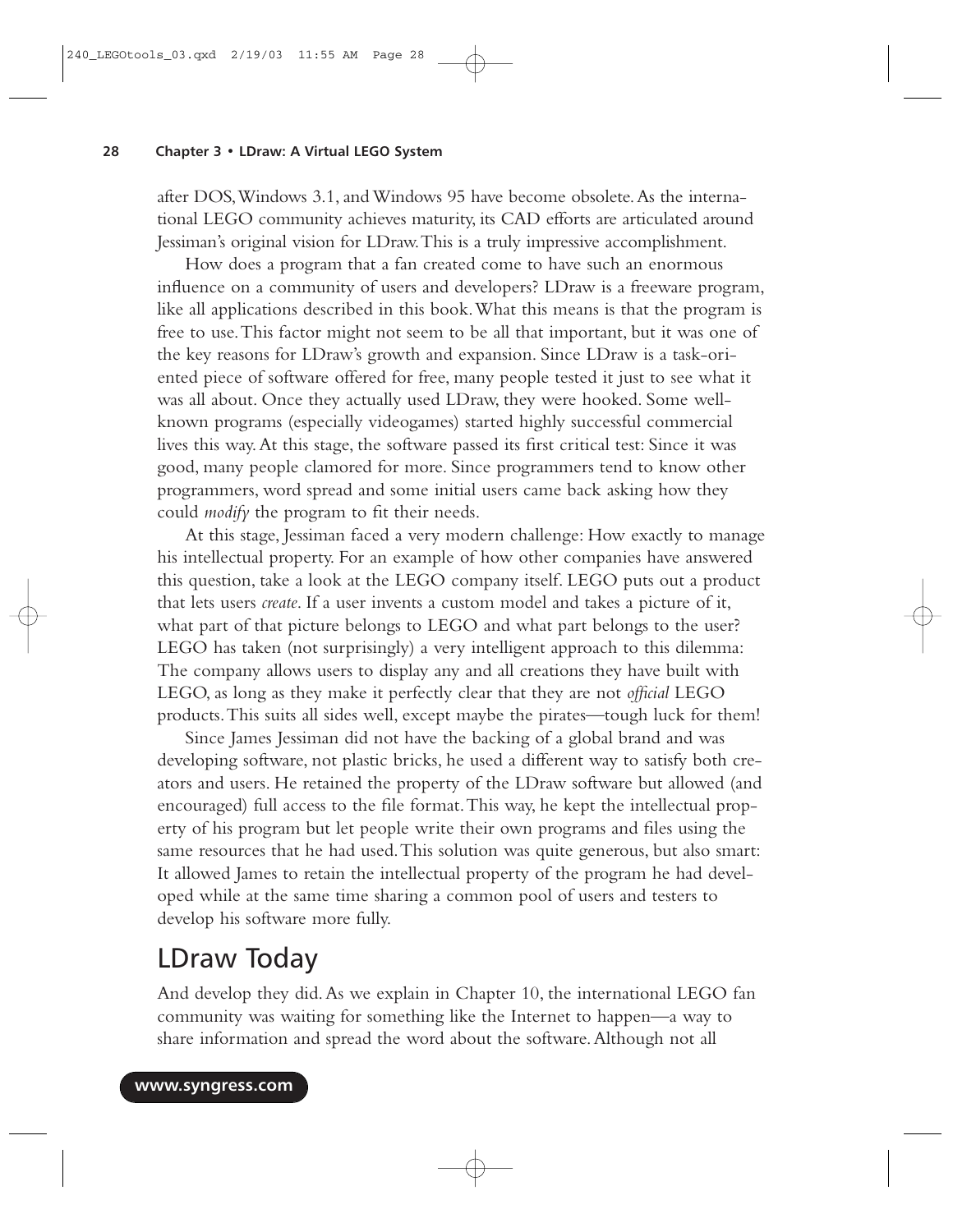after DOS,Windows 3.1, and Windows 95 have become obsolete.As the international LEGO community achieves maturity, its CAD efforts are articulated around Jessiman's original vision for LDraw.This is a truly impressive accomplishment.

How does a program that a fan created come to have such an enormous influence on a community of users and developers? LDraw is a freeware program, like all applications described in this book.What this means is that the program is free to use.This factor might not seem to be all that important, but it was one of the key reasons for LDraw's growth and expansion. Since LDraw is a task-oriented piece of software offered for free, many people tested it just to see what it was all about. Once they actually used LDraw, they were hooked. Some wellknown programs (especially videogames) started highly successful commercial lives this way.At this stage, the software passed its first critical test: Since it was good, many people clamored for more. Since programmers tend to know other programmers, word spread and some initial users came back asking how they could *modify* the program to fit their needs.

At this stage, Jessiman faced a very modern challenge: How exactly to manage his intellectual property. For an example of how other companies have answered this question, take a look at the LEGO company itself. LEGO puts out a product that lets users *create*. If a user invents a custom model and takes a picture of it, what part of that picture belongs to LEGO and what part belongs to the user? LEGO has taken (not surprisingly) a very intelligent approach to this dilemma: The company allows users to display any and all creations they have built with LEGO, as long as they make it perfectly clear that they are not *official* LEGO products.This suits all sides well, except maybe the pirates—tough luck for them!

Since James Jessiman did not have the backing of a global brand and was developing software, not plastic bricks, he used a different way to satisfy both creators and users. He retained the property of the LDraw software but allowed (and encouraged) full access to the file format.This way, he kept the intellectual property of his program but let people write their own programs and files using the same resources that he had used.This solution was quite generous, but also smart: It allowed James to retain the intellectual property of the program he had developed while at the same time sharing a common pool of users and testers to develop his software more fully.

### LDraw Today

And develop they did.As we explain in Chapter 10, the international LEGO fan community was waiting for something like the Internet to happen—a way to share information and spread the word about the software.Although not all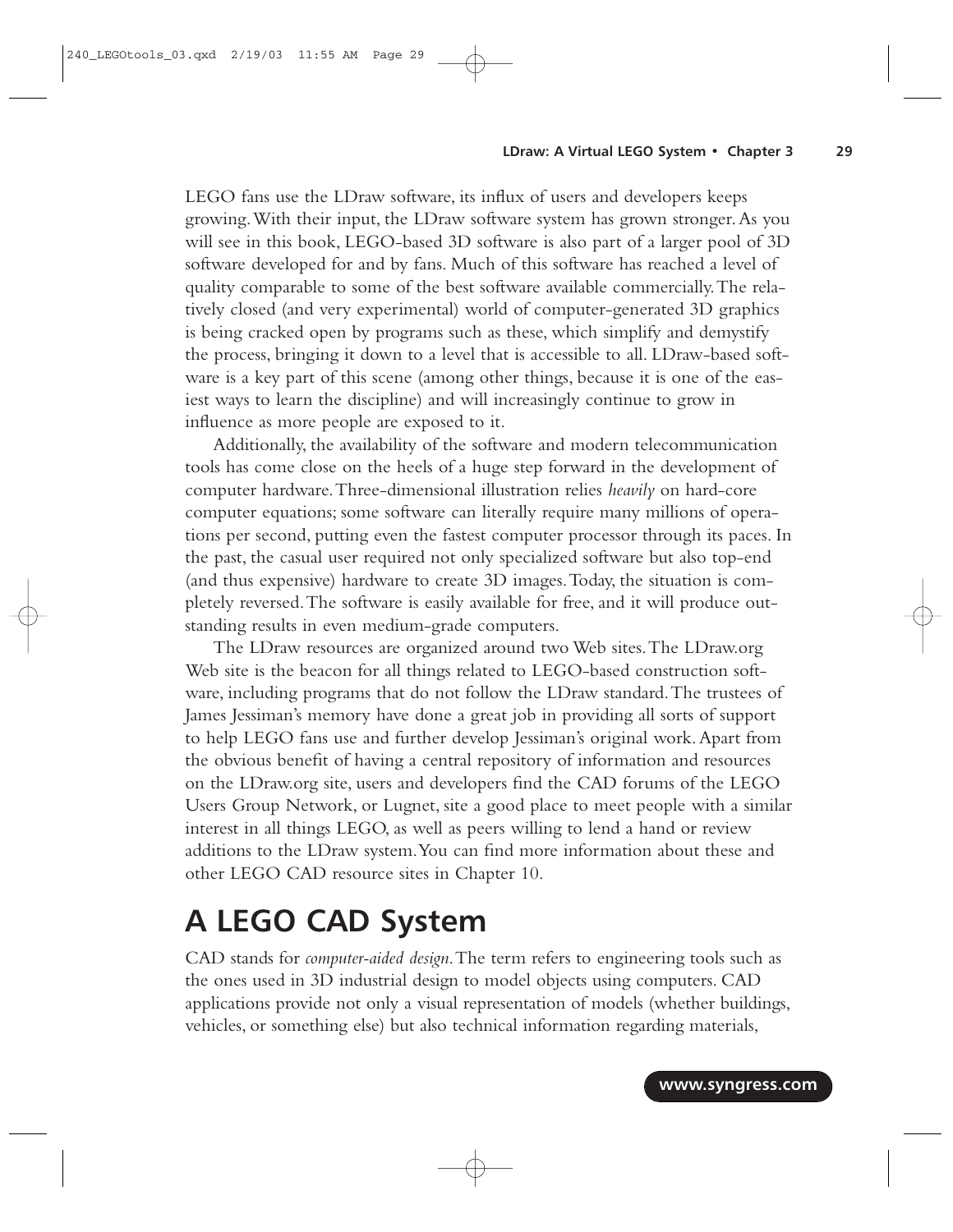LEGO fans use the LDraw software, its influx of users and developers keeps growing.With their input, the LDraw software system has grown stronger.As you will see in this book, LEGO-based 3D software is also part of a larger pool of 3D software developed for and by fans. Much of this software has reached a level of quality comparable to some of the best software available commercially.The relatively closed (and very experimental) world of computer-generated 3D graphics is being cracked open by programs such as these, which simplify and demystify the process, bringing it down to a level that is accessible to all. LDraw-based software is a key part of this scene (among other things, because it is one of the easiest ways to learn the discipline) and will increasingly continue to grow in influence as more people are exposed to it.

Additionally, the availability of the software and modern telecommunication tools has come close on the heels of a huge step forward in the development of computer hardware.Three-dimensional illustration relies *heavily* on hard-core computer equations; some software can literally require many millions of operations per second, putting even the fastest computer processor through its paces. In the past, the casual user required not only specialized software but also top-end (and thus expensive) hardware to create 3D images.Today, the situation is completely reversed.The software is easily available for free, and it will produce outstanding results in even medium-grade computers.

The LDraw resources are organized around two Web sites.The LDraw.org Web site is the beacon for all things related to LEGO-based construction software, including programs that do not follow the LDraw standard.The trustees of James Jessiman's memory have done a great job in providing all sorts of support to help LEGO fans use and further develop Jessiman's original work.Apart from the obvious benefit of having a central repository of information and resources on the LDraw.org site, users and developers find the CAD forums of the LEGO Users Group Network, or Lugnet, site a good place to meet people with a similar interest in all things LEGO, as well as peers willing to lend a hand or review additions to the LDraw system.You can find more information about these and other LEGO CAD resource sites in Chapter 10.

### **A LEGO CAD System**

CAD stands for *computer-aided design*.The term refers to engineering tools such as the ones used in 3D industrial design to model objects using computers. CAD applications provide not only a visual representation of models (whether buildings, vehicles, or something else) but also technical information regarding materials,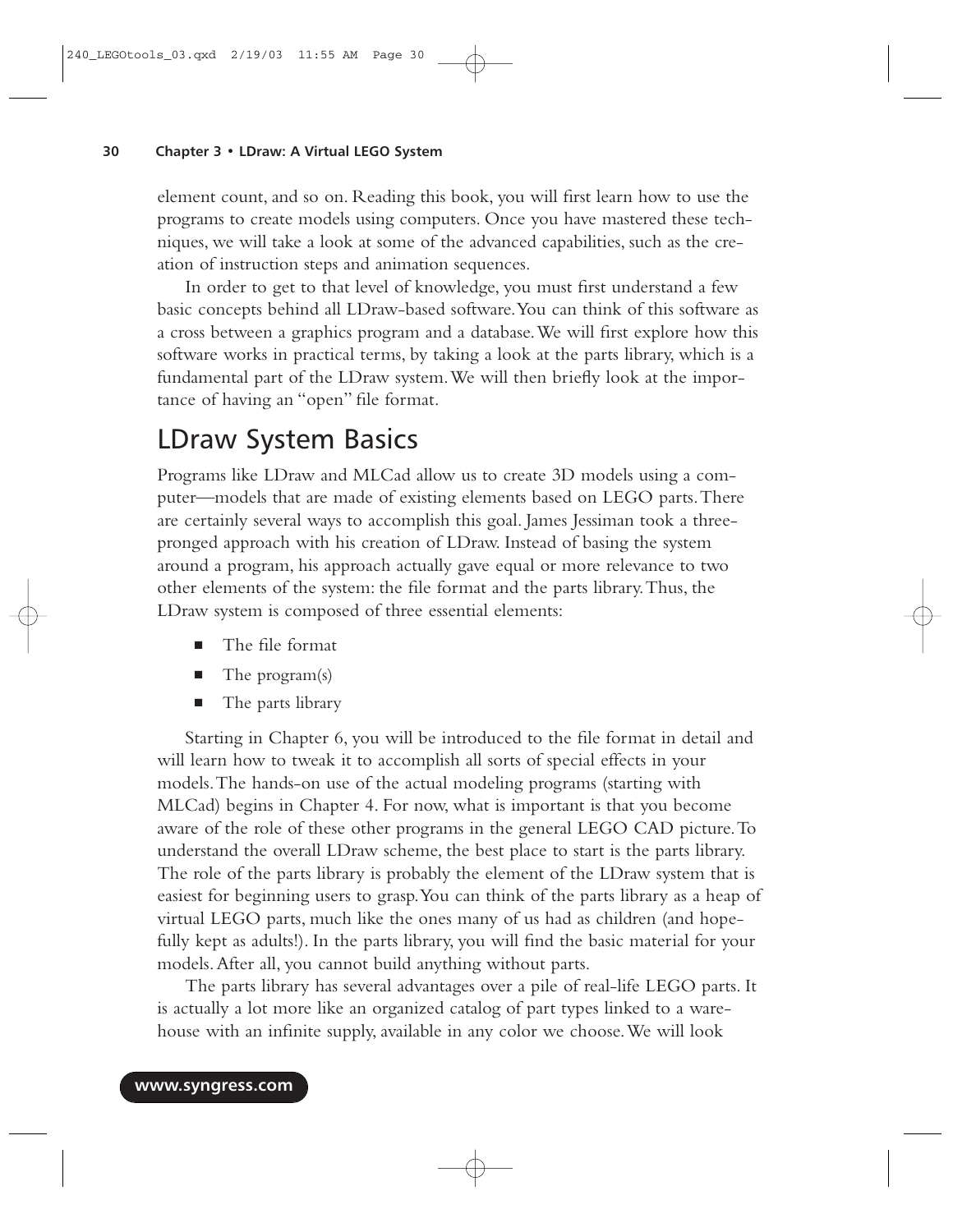element count, and so on. Reading this book, you will first learn how to use the programs to create models using computers. Once you have mastered these techniques, we will take a look at some of the advanced capabilities, such as the creation of instruction steps and animation sequences.

In order to get to that level of knowledge, you must first understand a few basic concepts behind all LDraw-based software.You can think of this software as a cross between a graphics program and a database.We will first explore how this software works in practical terms, by taking a look at the parts library, which is a fundamental part of the LDraw system.We will then briefly look at the importance of having an "open" file format.

### LDraw System Basics

Programs like LDraw and MLCad allow us to create 3D models using a computer—models that are made of existing elements based on LEGO parts.There are certainly several ways to accomplish this goal. James Jessiman took a threepronged approach with his creation of LDraw. Instead of basing the system around a program, his approach actually gave equal or more relevance to two other elements of the system: the file format and the parts library.Thus, the LDraw system is composed of three essential elements:

- The file format
- The program(s)
- The parts library

Starting in Chapter 6, you will be introduced to the file format in detail and will learn how to tweak it to accomplish all sorts of special effects in your models.The hands-on use of the actual modeling programs (starting with MLCad) begins in Chapter 4. For now, what is important is that you become aware of the role of these other programs in the general LEGO CAD picture.To understand the overall LDraw scheme, the best place to start is the parts library. The role of the parts library is probably the element of the LDraw system that is easiest for beginning users to grasp.You can think of the parts library as a heap of virtual LEGO parts, much like the ones many of us had as children (and hopefully kept as adults!). In the parts library, you will find the basic material for your models.After all, you cannot build anything without parts.

The parts library has several advantages over a pile of real-life LEGO parts. It is actually a lot more like an organized catalog of part types linked to a warehouse with an infinite supply, available in any color we choose.We will look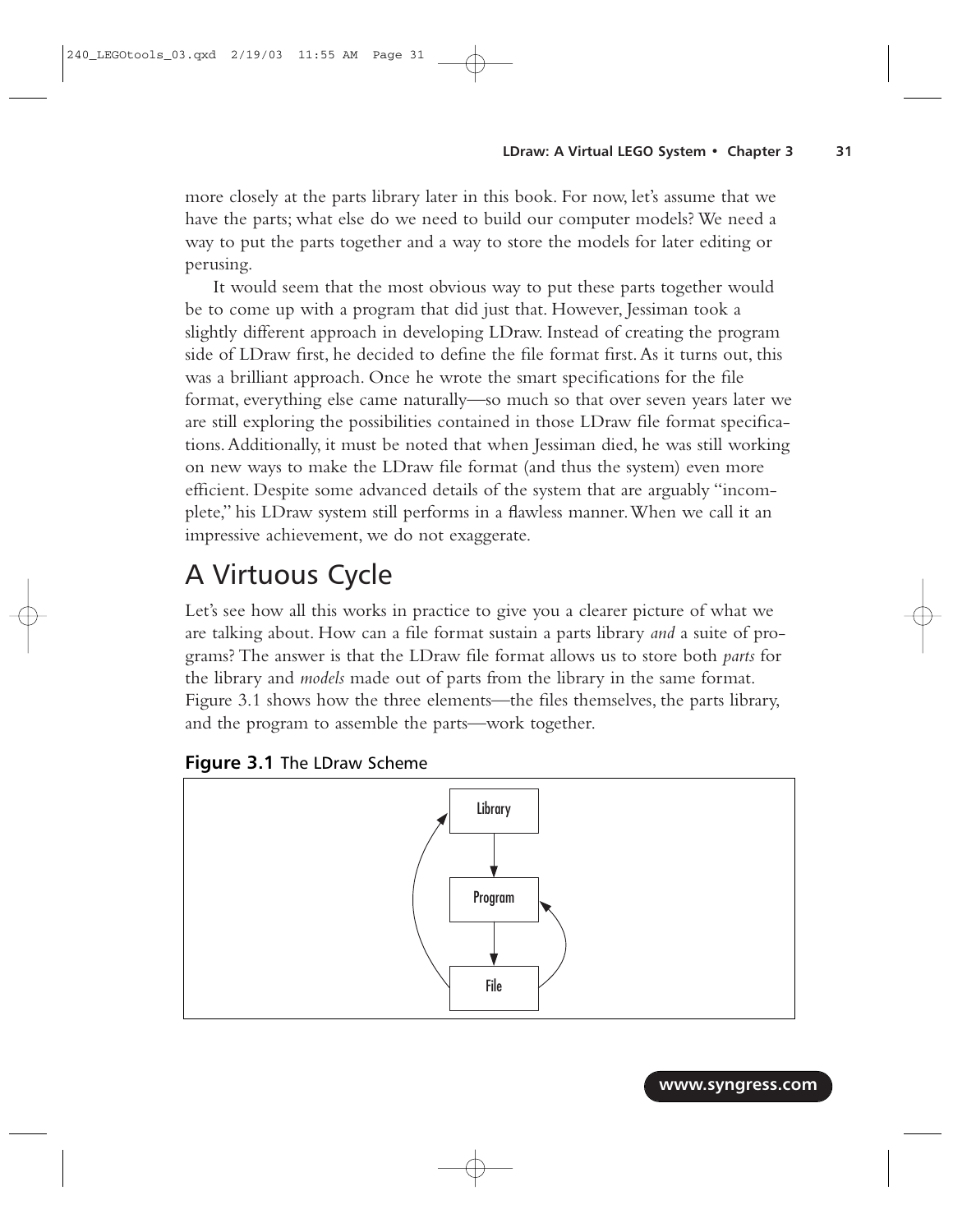more closely at the parts library later in this book. For now, let's assume that we have the parts; what else do we need to build our computer models? We need a way to put the parts together and a way to store the models for later editing or perusing.

It would seem that the most obvious way to put these parts together would be to come up with a program that did just that. However, Jessiman took a slightly different approach in developing LDraw. Instead of creating the program side of LDraw first, he decided to define the file format first.As it turns out, this was a brilliant approach. Once he wrote the smart specifications for the file format, everything else came naturally—so much so that over seven years later we are still exploring the possibilities contained in those LDraw file format specifications.Additionally, it must be noted that when Jessiman died, he was still working on new ways to make the LDraw file format (and thus the system) even more efficient. Despite some advanced details of the system that are arguably "incomplete," his LDraw system still performs in a flawless manner.When we call it an impressive achievement, we do not exaggerate.

### A Virtuous Cycle

Let's see how all this works in practice to give you a clearer picture of what we are talking about. How can a file format sustain a parts library *and* a suite of programs? The answer is that the LDraw file format allows us to store both *parts* for the library and *models* made out of parts from the library in the same format. Figure 3.1 shows how the three elements—the files themselves, the parts library, and the program to assemble the parts—work together.

#### **Figure 3.1** The LDraw Scheme

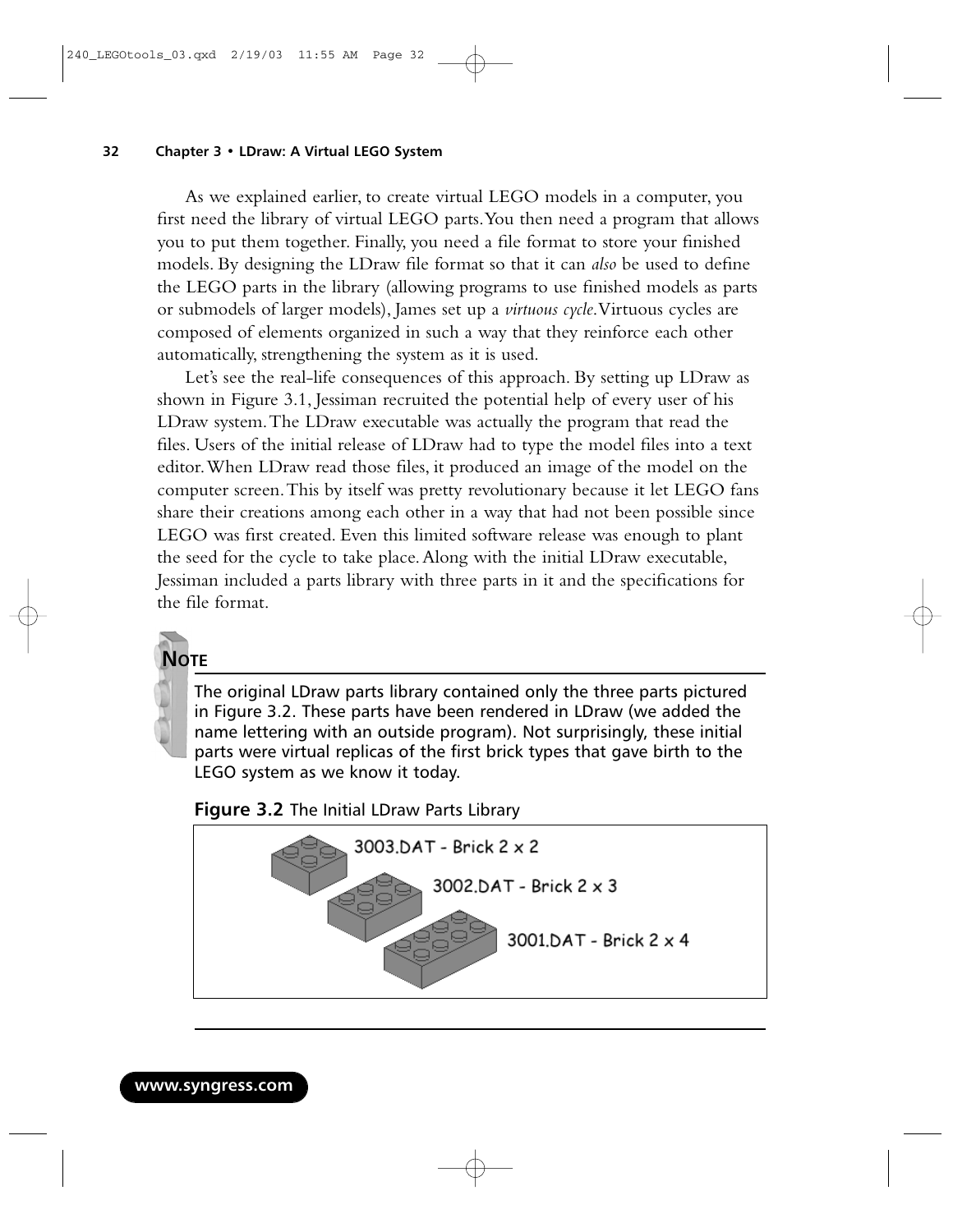As we explained earlier, to create virtual LEGO models in a computer, you first need the library of virtual LEGO parts.You then need a program that allows you to put them together. Finally, you need a file format to store your finished models. By designing the LDraw file format so that it can *also* be used to define the LEGO parts in the library (allowing programs to use finished models as parts or submodels of larger models), James set up a *virtuous cycle*.Virtuous cycles are composed of elements organized in such a way that they reinforce each other automatically, strengthening the system as it is used.

Let's see the real-life consequences of this approach. By setting up LDraw as shown in Figure 3.1, Jessiman recruited the potential help of every user of his LDraw system.The LDraw executable was actually the program that read the files. Users of the initial release of LDraw had to type the model files into a text editor.When LDraw read those files, it produced an image of the model on the computer screen.This by itself was pretty revolutionary because it let LEGO fans share their creations among each other in a way that had not been possible since LEGO was first created. Even this limited software release was enough to plant the seed for the cycle to take place.Along with the initial LDraw executable, Jessiman included a parts library with three parts in it and the specifications for the file format.

#### **NOTE**

The original LDraw parts library contained only the three parts pictured in Figure 3.2. These parts have been rendered in LDraw (we added the name lettering with an outside program). Not surprisingly, these initial parts were virtual replicas of the first brick types that gave birth to the LEGO system as we know it today.



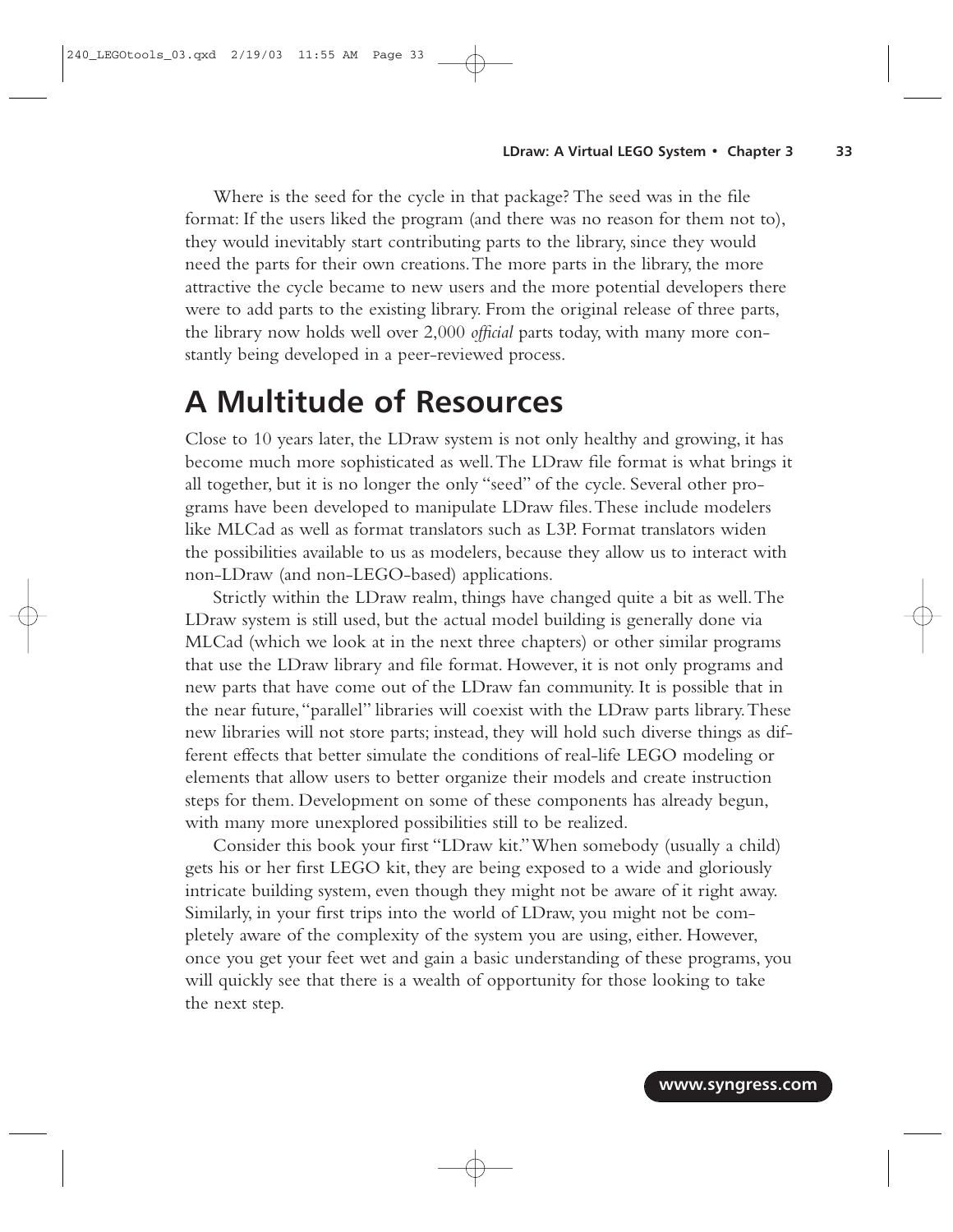Where is the seed for the cycle in that package? The seed was in the file format: If the users liked the program (and there was no reason for them not to), they would inevitably start contributing parts to the library, since they would need the parts for their own creations.The more parts in the library, the more attractive the cycle became to new users and the more potential developers there were to add parts to the existing library. From the original release of three parts, the library now holds well over 2,000 *official* parts today, with many more constantly being developed in a peer-reviewed process.

### **A Multitude of Resources**

Close to 10 years later, the LDraw system is not only healthy and growing, it has become much more sophisticated as well.The LDraw file format is what brings it all together, but it is no longer the only "seed" of the cycle. Several other programs have been developed to manipulate LDraw files.These include modelers like MLCad as well as format translators such as L3P. Format translators widen the possibilities available to us as modelers, because they allow us to interact with non-LDraw (and non-LEGO-based) applications.

Strictly within the LDraw realm, things have changed quite a bit as well.The LDraw system is still used, but the actual model building is generally done via MLCad (which we look at in the next three chapters) or other similar programs that use the LDraw library and file format. However, it is not only programs and new parts that have come out of the LDraw fan community. It is possible that in the near future,"parallel" libraries will coexist with the LDraw parts library.These new libraries will not store parts; instead, they will hold such diverse things as different effects that better simulate the conditions of real-life LEGO modeling or elements that allow users to better organize their models and create instruction steps for them. Development on some of these components has already begun, with many more unexplored possibilities still to be realized.

Consider this book your first "LDraw kit."When somebody (usually a child) gets his or her first LEGO kit, they are being exposed to a wide and gloriously intricate building system, even though they might not be aware of it right away. Similarly, in your first trips into the world of LDraw, you might not be completely aware of the complexity of the system you are using, either. However, once you get your feet wet and gain a basic understanding of these programs, you will quickly see that there is a wealth of opportunity for those looking to take the next step.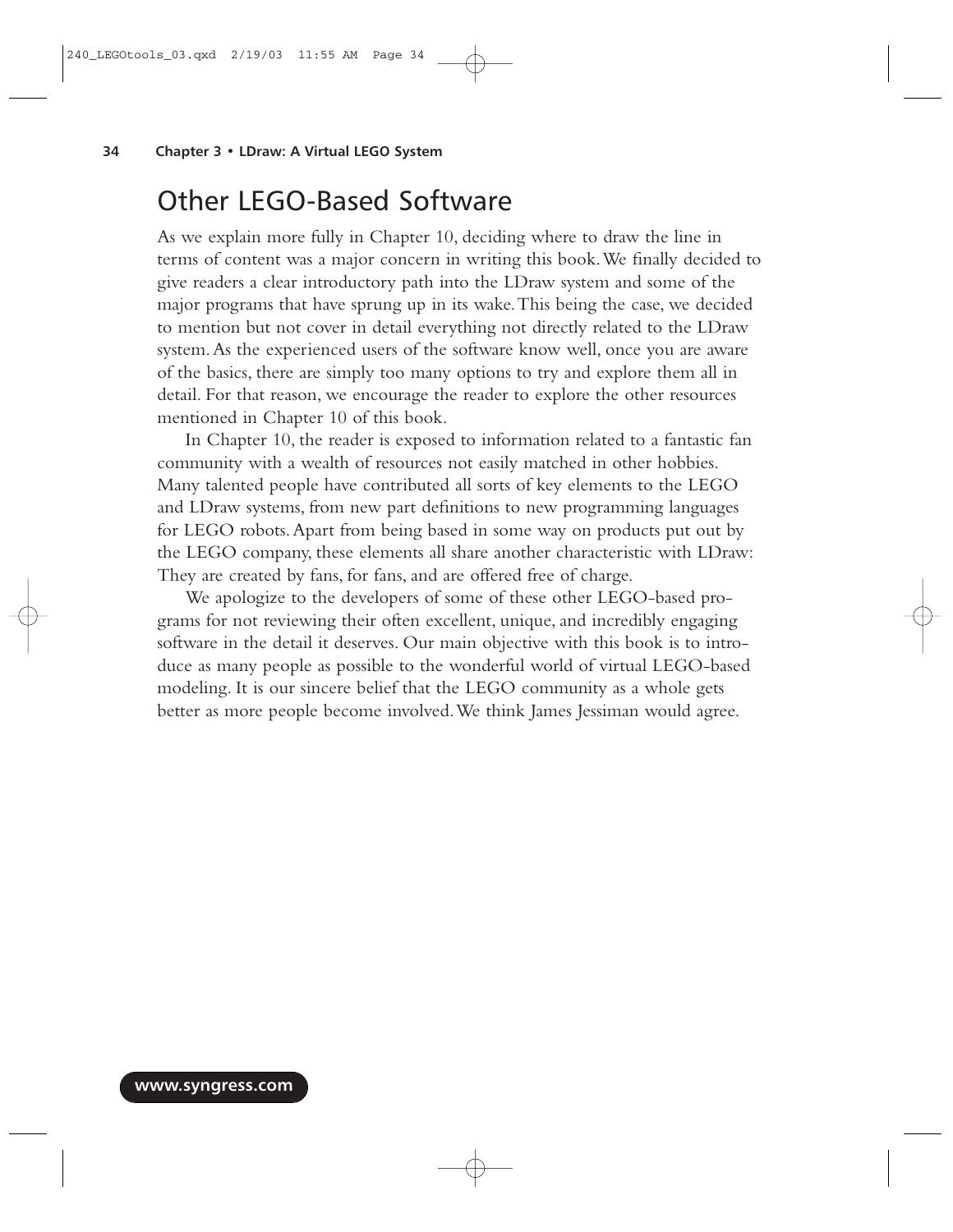### Other LEGO-Based Software

As we explain more fully in Chapter 10, deciding where to draw the line in terms of content was a major concern in writing this book.We finally decided to give readers a clear introductory path into the LDraw system and some of the major programs that have sprung up in its wake.This being the case, we decided to mention but not cover in detail everything not directly related to the LDraw system.As the experienced users of the software know well, once you are aware of the basics, there are simply too many options to try and explore them all in detail. For that reason, we encourage the reader to explore the other resources mentioned in Chapter 10 of this book.

In Chapter 10, the reader is exposed to information related to a fantastic fan community with a wealth of resources not easily matched in other hobbies. Many talented people have contributed all sorts of key elements to the LEGO and LDraw systems, from new part definitions to new programming languages for LEGO robots.Apart from being based in some way on products put out by the LEGO company, these elements all share another characteristic with LDraw: They are created by fans, for fans, and are offered free of charge.

We apologize to the developers of some of these other LEGO-based programs for not reviewing their often excellent, unique, and incredibly engaging software in the detail it deserves. Our main objective with this book is to introduce as many people as possible to the wonderful world of virtual LEGO-based modeling. It is our sincere belief that the LEGO community as a whole gets better as more people become involved.We think James Jessiman would agree.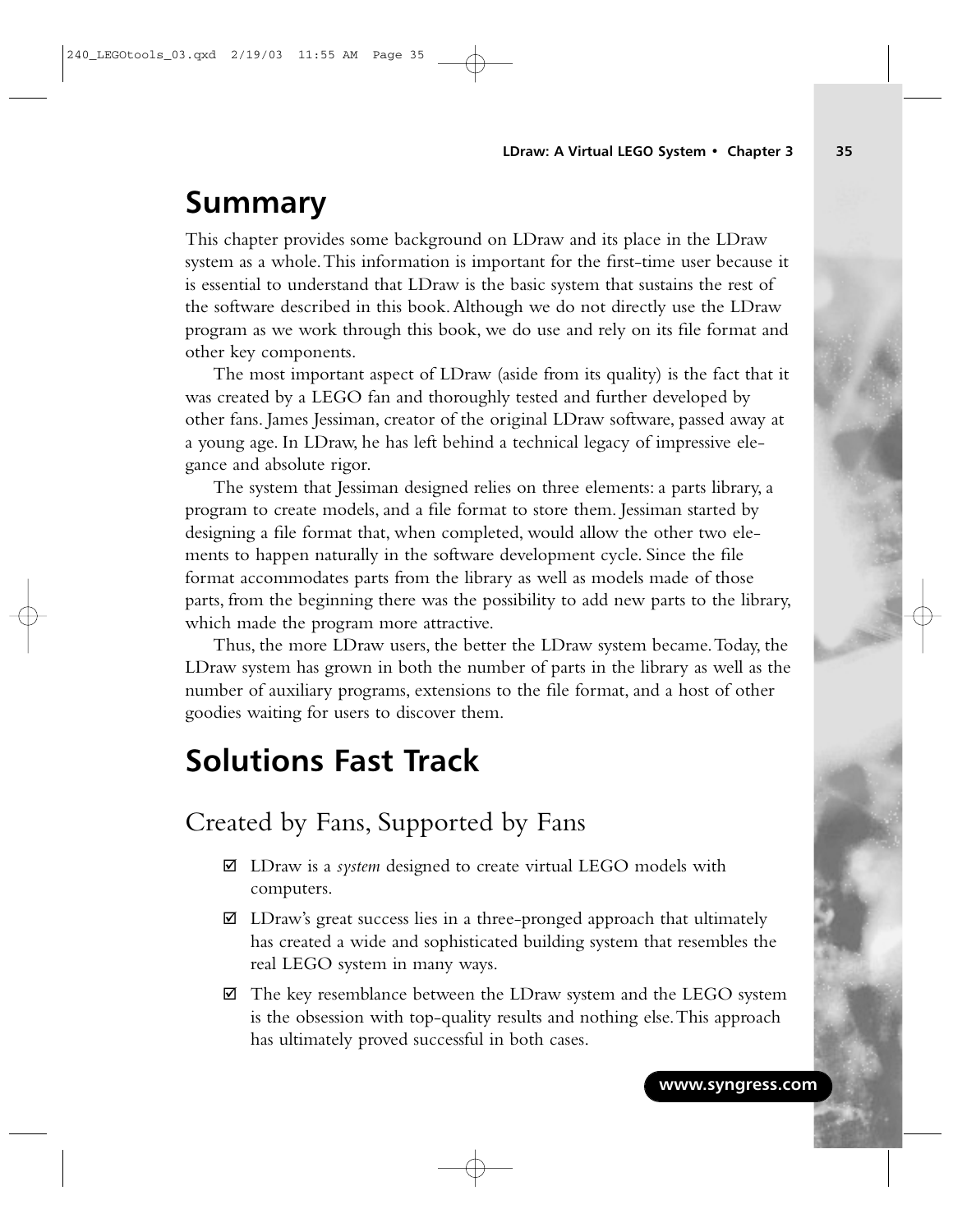### **Summary**

This chapter provides some background on LDraw and its place in the LDraw system as a whole.This information is important for the first-time user because it is essential to understand that LDraw is the basic system that sustains the rest of the software described in this book.Although we do not directly use the LDraw program as we work through this book, we do use and rely on its file format and other key components.

The most important aspect of LDraw (aside from its quality) is the fact that it was created by a LEGO fan and thoroughly tested and further developed by other fans. James Jessiman, creator of the original LDraw software, passed away at a young age. In LDraw, he has left behind a technical legacy of impressive elegance and absolute rigor.

The system that Jessiman designed relies on three elements: a parts library, a program to create models, and a file format to store them. Jessiman started by designing a file format that, when completed, would allow the other two elements to happen naturally in the software development cycle. Since the file format accommodates parts from the library as well as models made of those parts, from the beginning there was the possibility to add new parts to the library, which made the program more attractive.

Thus, the more LDraw users, the better the LDraw system became.Today, the LDraw system has grown in both the number of parts in the library as well as the number of auxiliary programs, extensions to the file format, and a host of other goodies waiting for users to discover them.

## **Solutions Fast Track**

#### Created by Fans, Supported by Fans

- ⊠ LDraw is a *system* designed to create virtual LEGO models with computers.
- $\boxtimes$  LDraw's great success lies in a three-pronged approach that ultimately has created a wide and sophisticated building system that resembles the real LEGO system in many ways.
- $\boxtimes$  The key resemblance between the LDraw system and the LEGO system is the obsession with top-quality results and nothing else.This approach has ultimately proved successful in both cases.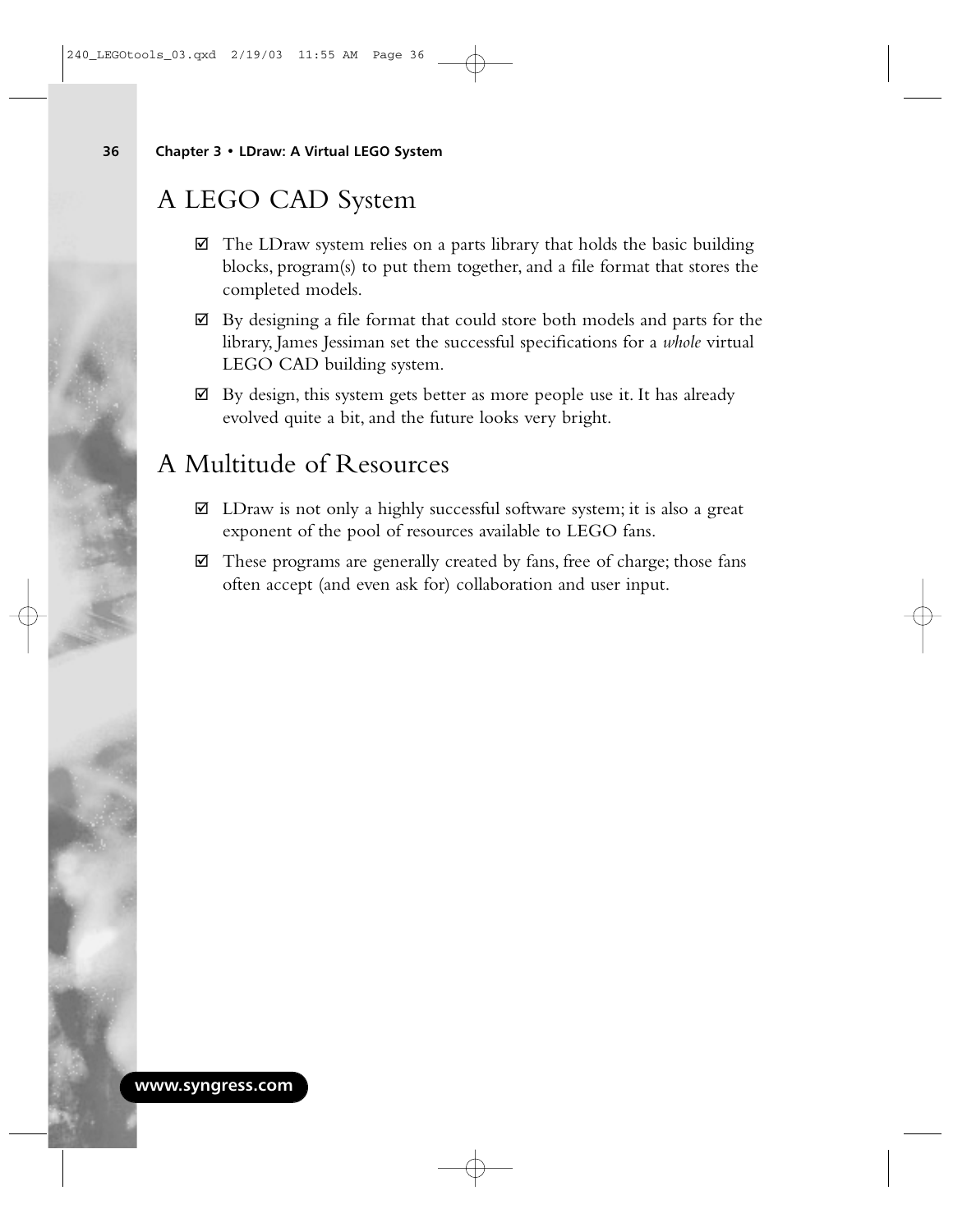#### A LEGO CAD System

- $\boxtimes$  The LDraw system relies on a parts library that holds the basic building blocks, program(s) to put them together, and a file format that stores the completed models.
- $\boxtimes$  By designing a file format that could store both models and parts for the library, James Jessiman set the successful specifications for a *whole* virtual LEGO CAD building system.
- $\boxtimes$  By design, this system gets better as more people use it. It has already evolved quite a bit, and the future looks very bright.

#### A Multitude of Resources

- $\boxtimes$  LDraw is not only a highly successful software system; it is also a great exponent of the pool of resources available to LEGO fans.
- $\boxtimes$  These programs are generally created by fans, free of charge; those fans often accept (and even ask for) collaboration and user input.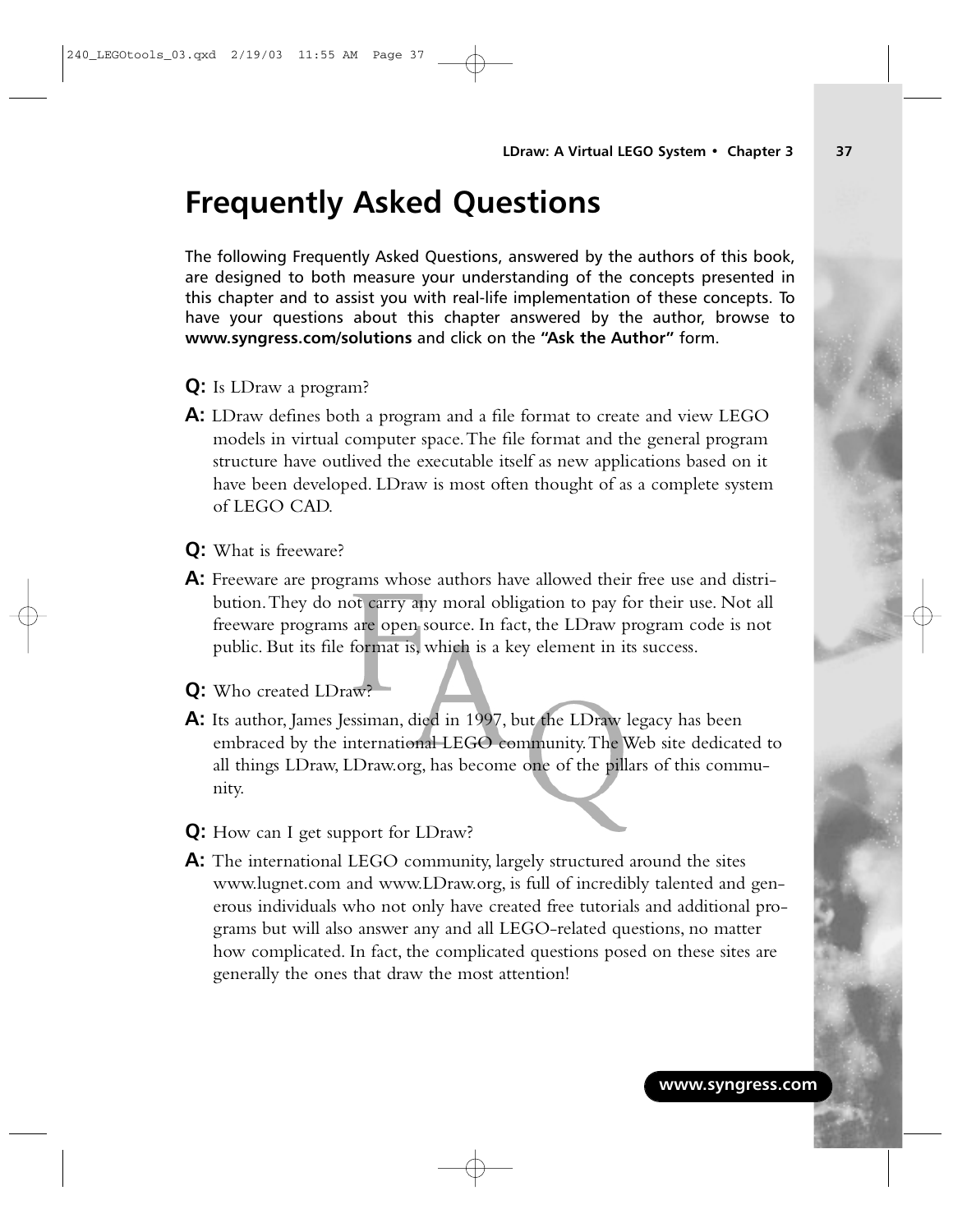### **Frequently Asked Questions**

The following Frequently Asked Questions, answered by the authors of this book, are designed to both measure your understanding of the concepts presented in this chapter and to assist you with real-life implementation of these concepts. To have your questions about this chapter answered by the author, browse to **www.syngress.com/solutions** and click on the **"Ask the Author"** form.

- **Q:** Is LDraw a program?
- **A:** LDraw defines both a program and a file format to create and view LEGO models in virtual computer space.The file format and the general program structure have outlived the executable itself as new applications based on it have been developed. LDraw is most often thought of as a complete system of LEGO CAD.
- **Q:** What is freeware?
- **A:** Freeware are programs whose authors have allowed their free use and distribution.They do not carry any moral obligation to pay for their use. Not all freeware programs are open source. In fact, the LDraw program code is not public. But its file format is, which is a key element in its success.
- **Q:** Who created LDraw?
- **A:** Its author, James Jessiman, died in 1997, but the LDraw legacy has been embraced by the international LEGO community.The Web site dedicated to all things LDraw, LDraw.org, has become one of the pillars of this community.
- **Q:** How can I get support for LDraw?
- **A:** The international LEGO community, largely structured around the sites www.lugnet.com and www.LDraw.org, is full of incredibly talented and generous individuals who not only have created free tutorials and additional programs but will also answer any and all LEGO-related questions, no matter how complicated. In fact, the complicated questions posed on these sites are generally the ones that draw the most attention!